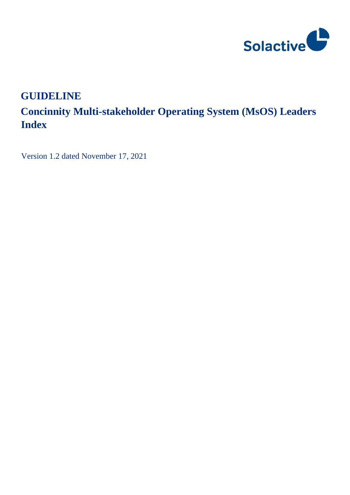

# **GUIDELINE**

# **Concinnity Multi-stakeholder Operating System (MsOS) Leaders Index**

Version 1.2 dated November 17, 2021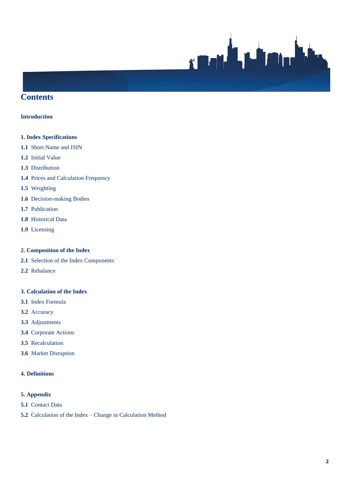

## **Contents**

#### **Introduction**

#### **1. Index Specifications**

- **1.1** Short Name and ISIN
- **1.2** Initial Value
- **1.3** Distribution
- **1.4** Prices and Calculation Frequency
- **1.5** Weighting
- **1.6** Decision-making Bodies
- **1.7** Publication
- **1.8** Historical Data
- **1.9** Licensing

#### **2. Composition of the Index**

- **2.1** Selection of the Index Components
- **2.2** Rebalance

#### **3. Calculation of the Index**

- **3.1** Index Formula
- **3.2** Accuracy
- **3.3** Adjustments
- **3.4** Corporate Actions
- **3.5** Recalculation
- **3.6** Market Disruption

## **4. Definitions**

#### **5. Appendix**

- **5.1** Contact Data
- **5.2** Calculation of the Index Change in Calculation Method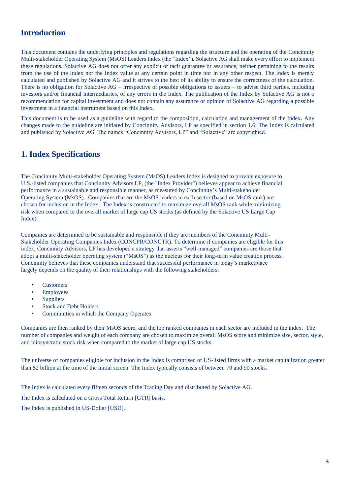# **Introduction**

This document contains the underlying principles and regulations regarding the structure and the operating of the Concinnity Multi-stakeholder Operating System (MsOS) Leaders Index (the "Index")*.* Solactive AG shall make every effort to implement these regulations. Solactive AG does not offer any explicit or tacit guarantee or assurance, neither pertaining to the results from the use of the Index nor the Index value at any certain point in time nor in any other respect. The Index is merely calculated and published by Solactive AG and it strives to the best of its ability to ensure the correctness of the calculation. There is no obligation for Solactive AG – irrespective of possible obligations to issuers – to advise third parties, including investors and/or financial intermediaries, of any errors in the Index. The publication of the Index by Solactive AG is not a recommendation for capital investment and does not contain any assurance or opinion of Solactive AG regarding a possible investment in a financial instrument based on this Index.

This document is to be used as a guideline with regard to the composition, calculation and management of the Index**.** Any changes made to the guideline are initiated by Concinnity Advisors, LP as specified in section 1.6. The Index is calculated and published by Solactive AG. The names "Concinnity Advisors, LP" and "Solactive" are copyrighted.

# **1. Index Specifications**

The Concinnity Multi-stakeholder Operating System (MsOS) Leaders Index is designed to provide exposure to U.S.-listed companies that Concinnity Advisors LP, (the "Index Provider") believes appear to achieve financial performance in a sustainable and responsible manner, as measured by Concinnity's Multi-stakeholder Operating System (MsOS). Companies that are the MsOS leaders in each sector (based on MsOS rank) are chosen for inclusion in the Index. The Index is constructed to maximize overall MsOS rank while minimizing risk when compared to the overall market of large cap US stocks (as defined by the Solactive US Large Cap Index).

Companies are determined to be sustainable and responsible if they are members of the Concinnity Multi-Stakeholder Operating Companies Index (CONCPR/CONCTR). To determine if companies are eligible for this index, Concinnity Advisors, LP has developed a strategy that asserts "well-managed" companies are those that adopt a multi-stakeholder operating system ("MsOS") as the nucleus for their long-term value creation process. Concinnity believes that these companies understand that successful performance in today's marketplace largely depends on the quality of their relationships with the following stakeholders:

- **Customers**
- **Employees**
- **Suppliers**
- Stock and Debt Holders
- Communities in which the Company Operates

Companies are then ranked by their MsOS score, and the top ranked companies in each sector are included in the index. The number of companies and weight of each company are chosen to maximize overall MsOS score and minimize size, sector, style, and idiosyncratic stock risk when compared to the market of large cap US stocks.

The universe of companies eligible for inclusion in the Index is comprised of US-listed firms with a market capitalization greater than \$2 billion at the time of the initial screen. The Index typically consists of between 70 and 90 stocks.

The Index is calculated every fifteen seconds of the Trading Day and distributed by Solactive AG.

The Index is calculated on a Gross Total Return [GTR] basis.

The Index is published in US-Dollar [USD].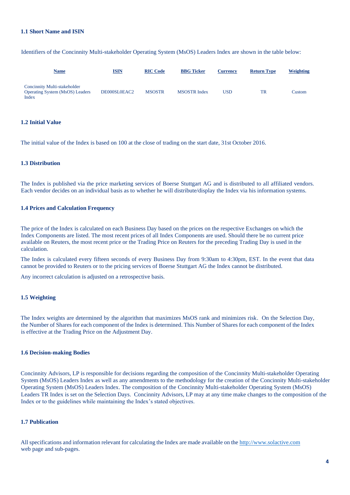#### **1.1 Short Name and ISIN**

Identifiers of the Concinnity Multi-stakeholder Operating System (MsOS) Leaders Index are shown in the table below:

| <b>Name</b>                                                                     | <b>ISIN</b>  | <b>RIC Code</b> | <b>BBG</b> Ticker   | <b>Currency</b> | <b>Return Type</b> | Weighting |
|---------------------------------------------------------------------------------|--------------|-----------------|---------------------|-----------------|--------------------|-----------|
| Concinnity Multi-stakeholder<br><b>Operating System (MsOS) Leaders</b><br>Index | DE000SL0EAC2 | <b>MSOSTR</b>   | <b>MSOSTR</b> Index | <b>USD</b>      | <b>TR</b>          | Custom    |

#### **1.2 Initial Value**

The initial value of the Index is based on 100 at the close of trading on the start date, 31st October 2016.

#### **1.3 Distribution**

The Index is published via the price marketing services of Boerse Stuttgart AG and is distributed to all affiliated vendors. Each vendor decides on an individual basis as to whether he will distribute/display the Index via his information systems.

#### **1.4 Prices and Calculation Frequency**

The price of the Index is calculated on each Business Day based on the prices on the respective Exchanges on which the Index Components are listed. The most recent prices of all Index Components are used. Should there be no current price available on Reuters, the most recent price or the Trading Price on Reuters for the preceding Trading Day is used in the calculation.

The Index is calculated every fifteen seconds of every Business Day from 9:30am to 4:30pm, EST. In the event that data cannot be provided to Reuters or to the pricing services of Boerse Stuttgart AG the Index cannot be distributed.

Any incorrect calculation is adjusted on a retrospective basis.

#### **1.5 Weighting**

The Index weights are determined by the algorithm that maximizes MsOS rank and minimizes risk. On the Selection Day, the Number of Shares for each component of the Index is determined. This Number of Shares for each component of the Index is effective at the Trading Price on the Adjustment Day.

#### **1.6 Decision-making Bodies**

Concinnity Advisors, LP is responsible for decisions regarding the composition of the Concinnity Multi-stakeholder Operating System (MsOS) Leaders Index as well as any amendments to the methodology for the creation of the Concinnity Multi-stakeholder Operating System (MsOS) Leaders Index. The composition of the Concinnity Multi-stakeholder Operating System (MsOS) Leaders TR Index is set on the Selection Days. Concinnity Advisors, LP may at any time make changes to the composition of the Index or to the guidelines while maintaining the Index's stated objectives.

#### **1.7 Publication**

All specifications and information relevant for calculating the Index are made available on th[e http://www.solactive.com](http://www.solactive.com/) web page and sub-pages.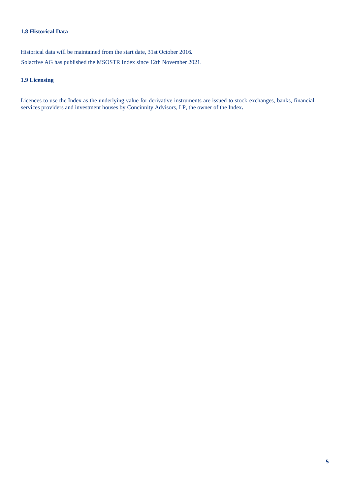## **1.8 Historical Data**

Historical data will be maintained from the start date, 31st October 2016*.* Solactive AG has published the MSOSTR Index since 12th November 2021.

#### **1.9 Licensing**

Licences to use the Index as the underlying value for derivative instruments are issued to stock exchanges, banks, financial services providers and investment houses by Concinnity Advisors, LP, the owner of the Index*.*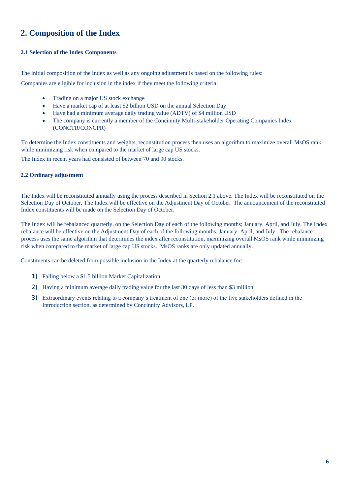# **2. Composition of the Index**

#### **2.1 Selection of the Index Components**

The initial composition of the Index as well as any ongoing adjustment is based on the following rules:

Companies are eligible for inclusion in the index if they meet the following criteria:

- Trading on a major US stock exchange
- Have a market cap of at least \$2 billion USD on the annual Selection Day
- Have had a minimum average daily trading value (ADTV) of \$4 million USD
- The company is currently a member of the Concinnity Multi-stakeholder Operating Companies Index (CONCTR/CONCPR)

To determine the Index constituents and weights, reconstitution process then uses an algorithm to maximize overall MsOS rank while minimizing risk when compared to the market of large cap US stocks.

The Index in recent years had consisted of between 70 and 90 stocks.

#### **2.2 Ordinary adjustment**

The Index will be reconstituted annually using the process described in Section 2.1 above. The Index will be reconstituted on the Selection Day of October. The Index will be effective on the Adjustment Day of October. The announcement of the reconstituted Index constituents will be made on the Selection Day of October.

The Index will be rebalanced quarterly, on the Selection Day of each of the following months; January, April, and July. The Index rebalance will be effective on the Adjustment Day of each of the following months, January, April, and July. The rebalance process uses the same algorithm that determines the index after reconstitution, maximizing overall MsOS rank while minimizing risk when compared to the market of large cap US stocks. MsOS ranks are only updated annually.

Constituents can be deleted from possible inclusion in the Index at the quarterly rebalance for:

- 1) Falling below a \$1.5 billion Market Capitalization
- 2) Having a minimum average daily trading value for the last 30 days of less than \$3 million
- 3) Extraordinary events relating to a company's treatment of one (or more) of the five stakeholders defined in the Introduction section, as determined by Concinnity Advisors, LP.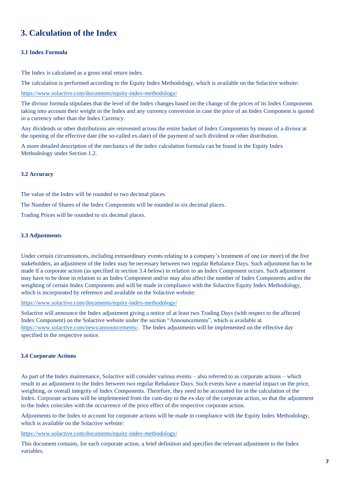# **3. Calculation of the Index**

#### **3.1 Index Formula**

The Index is calculated as a gross total return index.

The calculation is performed according to the Equity Index Methodology, which is available on the Solactive website:

<https://www.solactive.com/documents/equity-index-methodology/>

The divisor formula stipulates that the level of the Index changes based on the change of the prices of its Index Components taking into account their weight in the Index and any currency conversion in case the price of an Index Component is quoted in a currency other than the Index Currency.

Any dividends or other distributions are reinvested across the entire basket of Index Components by means of a divisor at the opening of the effective date (the so-called ex-date) of the payment of such dividend or other distribution.

A more detailed description of the mechanics of the index calculation formula can be found in the Equity Index Methodology under Section 1.2.

#### **3.2 Accuracy**

The value of the Index will be rounded to two decimal places.

The Number of Shares of the Index Components will be rounded to six decimal places.

Trading Prices will be rounded to six decimal places.

#### **3.3 Adjustments**

Under certain circumstances, including extraordinary events relating to a company's treatment of one (or more) of the five stakeholders, an adjustment of the Index may be necessary between two regular Rebalance Days. Such adjustment has to be made if a corporate action (as specified in section 3.4 below) in relation to an Index Component occurs. Such adjustment may have to be done in relation to an Index Component and/or may also affect the number of Index Components and/or the weighting of certain Index Components and will be made in compliance with the Solactive Equity Index Methodology, which is incorporated by reference and available on the Solactive website:

<https://www.solactive.com/documents/equity-index-methodology/>

Solactive will announce the Index adjustment giving a notice of at least two Trading Days (with respect to the affected Index Component) on the Solactive website under the section "Announcements", which is available at [https://www.solactive.com/news/announcements/.](https://www.solactive.com/news/announcements/) The Index adjustments will be implemented on the effective day specified in the respective notice.

#### **3.4 Corporate Actions**

As part of the Index maintenance, Solactive will consider various events – also referred to as corporate actions – which result in an adjustment to the Index between two regular Rebalance Days. Such events have a material impact on the price, weighting, or overall integrity of Index Components. Therefore, they need to be accounted for in the calculation of the Index. Corporate actions will be implemented from the cum-day to the ex-day of the corporate action, so that the adjustment to the Index coincides with the occurrence of the price effect of the respective corporate action.

Adjustments to the Index to account for corporate actions will be made in compliance with the Equity Index Methodology, which is available on the Solactive website:

<https://www.solactive.com/documents/equity-index-methodology/>

This document contains, for each corporate action, a brief definition and specifies the relevant adjustment to the Index variables.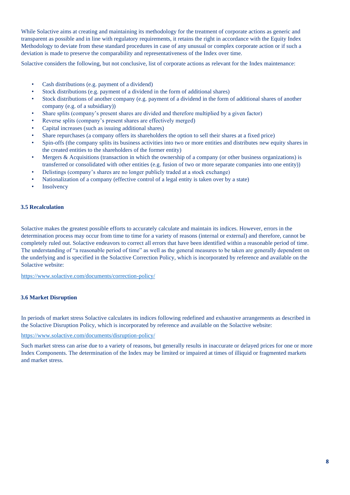While Solactive aims at creating and maintaining its methodology for the treatment of corporate actions as generic and transparent as possible and in line with regulatory requirements, it retains the right in accordance with the Equity Index Methodology to deviate from these standard procedures in case of any unusual or complex corporate action or if such a deviation is made to preserve the comparability and representativeness of the Index over time.

Solactive considers the following, but not conclusive, list of corporate actions as relevant for the Index maintenance:

- Cash distributions (e.g. payment of a dividend)
- Stock distributions (e.g. payment of a dividend in the form of additional shares)
- Stock distributions of another company (e.g. payment of a dividend in the form of additional shares of another company (e.g. of a subsidiary))
- Share splits (company's present shares are divided and therefore multiplied by a given factor)
- Reverse splits (company's present shares are effectively merged)
- Capital increases (such as issuing additional shares)
- Share repurchases (a company offers its shareholders the option to sell their shares at a fixed price)
- Spin-offs (the company splits its business activities into two or more entities and distributes new equity shares in the created entities to the shareholders of the former entity)
- Mergers  $\&$  Acquisitions (transaction in which the ownership of a company (or other business organizations) is transferred or consolidated with other entities (e.g. fusion of two or more separate companies into one entity))
- Delistings (company's shares are no longer publicly traded at a stock exchange)
- Nationalization of a company (effective control of a legal entity is taken over by a state)
- **Insolvency**

#### **3.5 Recalculation**

Solactive makes the greatest possible efforts to accurately calculate and maintain its indices. However, errors in the determination process may occur from time to time for a variety of reasons (internal or external) and therefore, cannot be completely ruled out. Solactive endeavors to correct all errors that have been identified within a reasonable period of time. The understanding of "a reasonable period of time" as well as the general measures to be taken are generally dependent on the underlying and is specified in the Solactive Correction Policy, which is incorporated by reference and available on the Solactive website:

<https://www.solactive.com/documents/correction-policy/>

## **3.6 Market Disruption**

In periods of market stress Solactive calculates its indices following redefined and exhaustive arrangements as described in the Solactive Disruption Policy, which is incorporated by reference and available on the Solactive website:

### <https://www.solactive.com/documents/disruption-policy/>

Such market stress can arise due to a variety of reasons, but generally results in inaccurate or delayed prices for one or more Index Components. The determination of the Index may be limited or impaired at times of illiquid or fragmented markets and market stress.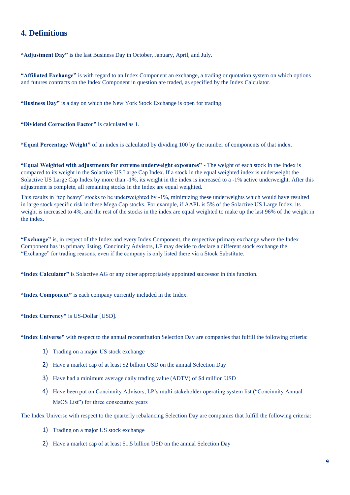## **4. Definitions**

**"Adjustment Day"** is the last Business Day in October, January, April, and July.

**"Affiliated Exchange"** is with regard to an Index Component an exchange, a trading or quotation system on which options and futures contracts on the Index Component in question are traded, as specified by the Index Calculator.

**"Business Day"** is a day on which the New York Stock Exchange is open for trading.

**"Dividend Correction Factor"** is calculated as 1.

**"Equal Percentage Weight"** of an index is calculated by dividing 100 by the number of components of that index.

**"Equal Weighted with adjustments for extreme underweight exposures"** - The weight of each stock in the Index is compared to its weight in the Solactive US Large Cap Index. If a stock in the equal weighted index is underweight the Solactive US Large Cap Index by more than -1%, its weight in the index is increased to a -1% active underweight. After this adjustment is complete, all remaining stocks in the Index are equal weighted.

This results in "top heavy" stocks to be underweighted by -1%, minimizing these underweights which would have resulted in large stock specific risk in these Mega Cap stocks. For example, if AAPL is 5% of the Solactive US Large Index, its weight is increased to 4%, and the rest of the stocks in the index are equal weighted to make up the last 96% of the weight in the index.

**"Exchange"** is, in respect of the Index and every Index Component, the respective primary exchange where the Index Component has its primary listing. Concinnity Advisors, LP may decide to declare a different stock exchange the "Exchange" for trading reasons, even if the company is only listed there via a Stock Substitute.

**"Index Calculator"** is Solactive AG or any other appropriately appointed successor in this function.

**"Index Component"** is each company currently included in the Index.

**"Index Currency"** is US-Dollar [USD].

**"Index Universe"** with respect to the annual reconstitution Selection Day are companies that fulfill the following criteria:

- 1) Trading on a major US stock exchange
- 2) Have a market cap of at least \$2 billion USD on the annual Selection Day
- 3) Have had a minimum average daily trading value (ADTV) of \$4 million USD
- 4) Have been put on Concinnity Advisors, LP's multi-stakeholder operating system list ("Concinnity Annual MsOS List") for three consecutive years

The Index Universe with respect to the quarterly rebalancing Selection Day are companies that fulfill the following criteria:

- 1) Trading on a major US stock exchange
- 2) Have a market cap of at least \$1.5 billion USD on the annual Selection Day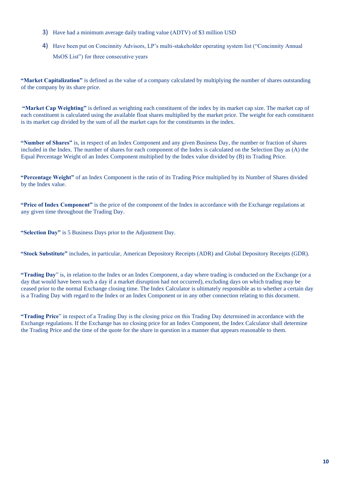- 3) Have had a minimum average daily trading value (ADTV) of \$3 million USD
- 4) Have been put on Concinnity Advisors, LP's multi-stakeholder operating system list ("Concinnity Annual MsOS List") for three consecutive years

**"Market Capitalization"** is defined as the value of a company calculated by multiplying the number of shares outstanding of the company by its share price.

**"Market Cap Weighting"** is defined as weighting each constituent of the index by its market cap size. The market cap of each constituent is calculated using the available float shares multiplied by the market price. The weight for each constituent is its market cap divided by the sum of all the market caps for the constituents in the index.

**"Number of Shares"** is, in respect of an Index Component and any given Business Day, the number or fraction of shares included in the Index. The number of shares for each component of the Index is calculated on the Selection Day as (A) the Equal Percentage Weight of an Index Component multiplied by the Index value divided by (B) its Trading Price.

**"Percentage Weight"** of an Index Component is the ratio of its Trading Price multiplied by its Number of Shares divided by the Index value.

**"Price of Index Component"** is the price of the component of the Index in accordance with the Exchange regulations at any given time throughout the Trading Day.

**"Selection Day"** is 5 Business Days prior to the Adjustment Day.

**"Stock Substitute"** includes, in particular, American Depository Receipts (ADR) and Global Depository Receipts (GDR).

**"Trading Day**" is, in relation to the Index or an Index Component, a day where trading is conducted on the Exchange (or a day that would have been such a day if a market disruption had not occurred), excluding days on which trading may be ceased prior to the normal Exchange closing time. The Index Calculator is ultimately responsible as to whether a certain day is a Trading Day with regard to the Index or an Index Component or in any other connection relating to this document.

**"Trading Price**" in respect of a Trading Day is the closing price on this Trading Day determined in accordance with the Exchange regulations. If the Exchange has no closing price for an Index Component, the Index Calculator shall determine the Trading Price and the time of the quote for the share in question in a manner that appears reasonable to them.